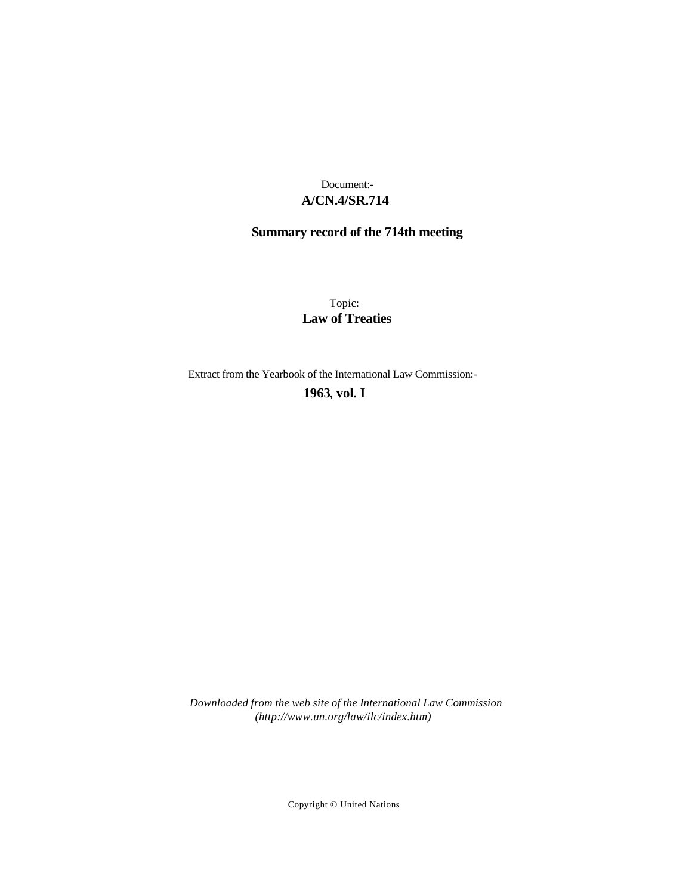### **A/CN.4/SR.714** Document:-

## **Summary record of the 714th meeting**

Topic: **Law of Treaties**

Extract from the Yearbook of the International Law Commission:-

**1963** , **vol. I**

*Downloaded from the web site of the International Law Commission (http://www.un.org/law/ilc/index.htm)*

Copyright © United Nations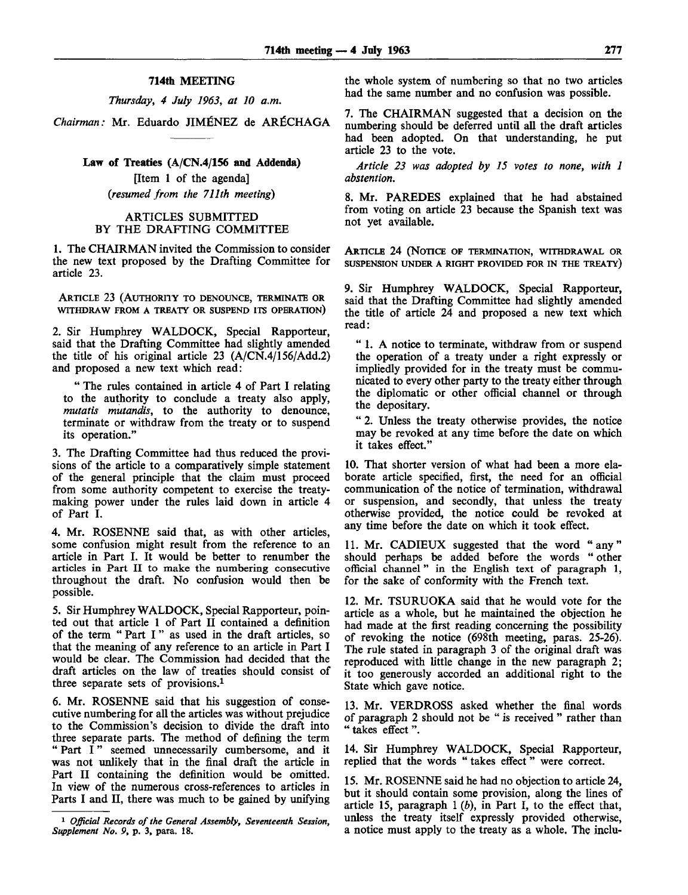#### **714th** MEETING

*Thursday, 4 July 1963, at 10 a.m.*

*Chairman:* Mr. Eduardo JIMENEZ de AR^CHAGA

#### Law of Treaties (A/CN.4/156 and Addenda)

[Item 1 of the agenda] *(resumed from the 711th meeting)*

### ARTICLES SUBMITTED BY THE DRAFTING COMMITTEE

1. The CHAIRMAN invited the Commission to consider the new text proposed by the Drafting Committee for article 23.

ARTICLE 23 (AUTHORITY TO DENOUNCE, TERMINATE OR WITHDRAW FROM A TREATY OR SUSPEND ITS OPERATION)

2. Sir Humphrey WALDOCK, Special Rapporteur, said that the Drafting Committee had slightly amended the title of his original article 23 (A/CN.4/156/Add.2) and proposed a new text which read:

" The rules contained in article 4 of Part I relating to the authority to conclude a treaty also apply, *mutatis mutandis,* to the authority to denounce, terminate or withdraw from the treaty or to suspend its operation."

3. The Drafting Committee had thus reduced the provisions of the article to a comparatively simple statement of the general principle that the claim must proceed from some authority competent to exercise the treatymaking power under the rules laid down in article 4 of Part I.

4. Mr. ROSENNE said that, as with other articles, some confusion might result from the reference to an article in Part I. It would be better to renumber the articles in Part II to make the numbering consecutive throughout the draft. No confusion would then be possible.

5. Sir Humphrey WALDOCK, Special Rapporteur, pointed out that article 1 of Part II contained a definition of the term " Part I " as used in the draft articles, so that the meaning of any reference to an article in Part I would be clear. The Commission had decided that the draft articles on the law of treaties should consist of three separate sets of provisions.<sup>1</sup>

6. Mr. ROSENNE said that his suggestion of consecutive numbering for all the articles was without prejudice to the Commission's decision to divide the draft into three separate parts. The method of defining the term " Part I" seemed unnecessarily cumbersome, and it was not unlikely that in the final draft the article in Part II containing the definition would be omitted. In view of the numerous cross-references to articles in Parts I and II, there was much to be gained by unifying the whole system of numbering so that no two articles had the same number and no confusion was possible.

7. The CHAIRMAN suggested that a decision on the numbering should be deferred until all the draft articles had been adopted. On that understanding, he put article 23 to the vote.

*Article 23 was adopted by 15 votes to none, with 1 abstention.*

8. Mr. PAREDES explained that he had abstained from voting on article 23 because the Spanish text was not yet available.

ARTICLE 24 (NOTICE OF TERMINATION, WITHDRAWAL OR SUSPENSION UNDER A RIGHT PROVIDED FOR IN THE TREATY)

9. Sir Humphrey WALDOCK, Special Rapporteur, said that the Drafting Committee had slightly amended the title of article 24 and proposed a new text which read:

" 1. A notice to terminate, withdraw from or suspend the operation of a treaty under a right expressly or impliedly provided for in the treaty must be communicated to every other party to the treaty either through the diplomatic or other official channel or through the depositary.

" 2. Unless the treaty otherwise provides, the notice may be revoked at any time before the date on which it takes effect."

10. That shorter version of what had been a more elaborate article specified, first, the need for an official communication of the notice of termination, withdrawal or suspension, and secondly, that unless the treaty otherwise provided, the notice could be revoked at any time before the date on which it took effect.

11. Mr. CADIEUX suggested that the word "any" should perhaps be added before the words " other official channel " in the English text of paragraph 1, for the sake of conformity with the French text.

12. Mr. TSURUOKA said that he would vote for the article as a whole, but he maintained the objection he had made at the first reading concerning the possibility of revoking the notice (698th meeting, paras. 25-26). The rule stated in paragraph 3 of the original draft was reproduced with little change in the new paragraph 2; it too generously accorded an additional right to the State which gave notice.

13. Mr. VERDROSS asked whether the final words of paragraph 2 should not be " is received " rather than " takes effect".

14. Sir Humphrey WALDOCK, Special Rapporteur, replied that the words " takes effect" were correct.

15. Mr. ROSENNE said he had no objection to article 24, but it should contain some provision, along the lines of article 15, paragraph 1 *(b),* in Part I, to the effect that, unless the treaty itself expressly provided otherwise, a notice must apply to the treaty as a whole. The inclu-

<sup>1</sup>  *Official Records of the General Assembly, Seventeenth Session, Supplement No. 9,* p. 3, para. 18.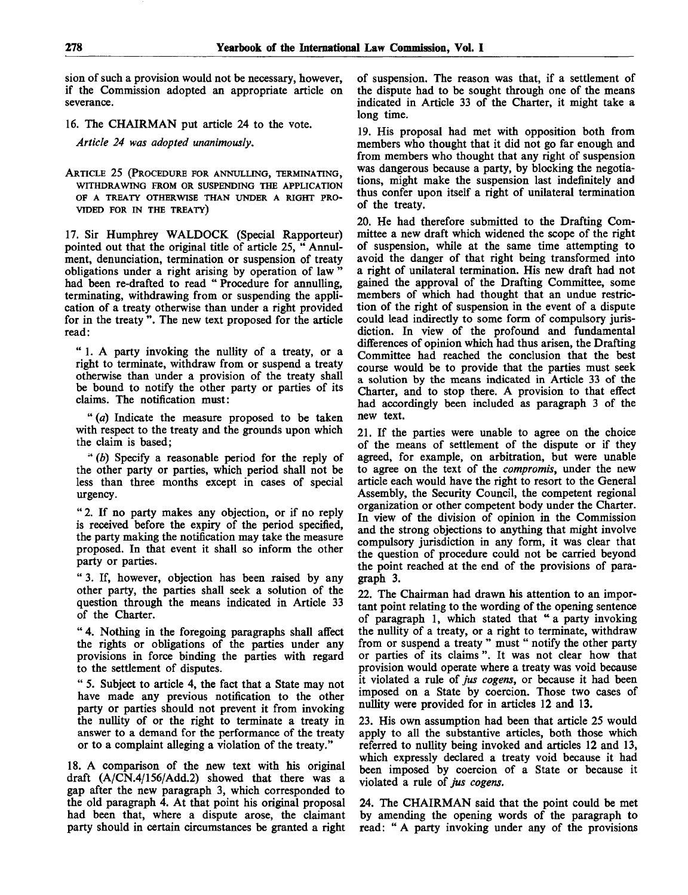sion of such a provision would not be necessary, however, if the Commission adopted an appropriate article on severance.

16. The CHAIRMAN put article 24 to the vote.

*Article 24 was adopted unanimously.*

ARTICLE 25 (PROCEDURE FOR ANNULLING, TERMINATING, WITHDRAWING FROM OR SUSPENDING THE APPLICATION OF A TREATY OTHERWISE THAN UNDER A RIGHT PRO-VIDED FOR IN THE TREATY)

17. Sir Humphrey WALDOCK (Special Rapporteur) pointed out that the original title of article 25, " Annulment, denunciation, termination or suspension of treaty obligations under a right arising by operation of law " had been re-drafted to read " Procedure for annulling, terminating, withdrawing from or suspending the application of a treaty otherwise than under a right provided for in the treaty ". The new text proposed for the article read:

" 1. A party invoking the nullity of a treaty, or a right to terminate, withdraw from or suspend a treaty otherwise than under a provision of the treaty shall be bound to notify the other party or parties of its claims. The notification must:

" *(a)* Indicate the measure proposed to be taken with respect to the treaty and the grounds upon which the claim is based;

" *(b)* Specify a reasonable period for the reply of the other party or parties, which period shall not be less than three months except in cases of special urgency.

" 2. If no party makes any objection, or if no reply is received before the expiry of the period specified, the party making the notification may take the measure proposed. In that event it shall so inform the other party or parties.

" 3. If, however, objection has been raised by any other party, the parties shall seek a solution of the question through the means indicated in Article 33 of the Charter.

" 4. Nothing in the foregoing paragraphs shall affect the rights or obligations of the parties under any provisions in force binding the parties with regard to the settlement of disputes.

" 5. Subject to article 4, the fact that a State may not have made any previous notification to the other party or parties should not prevent it from invoking the nullity of or the right to terminate a treaty in answer to a demand for the performance of the treaty or to a complaint alleging a violation of the treaty."

18. A comparison of the new text with his original draft (A/CN.4/156/Add.2) showed that there was a gap after the new paragraph 3, which corresponded to the old paragraph 4. At that point his original proposal had been that, where a dispute arose, the claimant party should in certain circumstances be granted a right of suspension. The reason was that, if a settlement of the dispute had to be sought through one of the means indicated in Article 33 of the Charter, it might take a long time.

19. His proposal had met with opposition both from members who thought that it did not go far enough and from members who thought that any right of suspension was dangerous because a party, by blocking the negotiations, might make the suspension last indefinitely and thus confer upon itself a right of unilateral termination of the treaty.

20. He had therefore submitted to the Drafting Committee a new draft which widened the scope of the right of suspension, while at the same time attempting to avoid the danger of that right being transformed into a right of unilateral termination. His new draft had not gained the approval of the Drafting Committee, some members of which had thought that an undue restriction of the right of suspension in the event of a dispute could lead indirectly to some form of compulsory jurisdiction. In view of the profound and fundamental differences of opinion which had thus arisen, the Drafting Committee had reached the conclusion that the best course would be to provide that the parties must seek a solution by the means indicated in Article 33 of the Charter, and to stop there. A provision to that effect had accordingly been included as paragraph 3 of the new text.

21. If the parties were unable to agree on the choice of the means of settlement of the dispute or if they agreed, for example, on arbitration, but were unable to agree on the text of the *compromis,* under the new article each would have the right to resort to the General Assembly, the Security Council, the competent regional organization or other competent body under the Charter. In view of the division of opinion in the Commission and the strong objections to anything that might involve compulsory jurisdiction in any form, it was clear that the question of procedure could not be carried beyond the point reached at the end of the provisions of paragraph 3.

22. The Chairman had drawn his attention to an important point relating to the wording of the opening sentence of paragraph 1, which stated that " a party invoking the nullity of a treaty, or a right to terminate, withdraw from or suspend a treaty " must " notify the other party or parties of its claims ". It was not clear how that provision would operate where a treaty was void because it violated a rule of *jus cogens,* or because it had been imposed on a State by coercion. Those two cases of nullity were provided for in articles 12 and 13.

23. His own assumption had been that article 25 would apply to all the substantive articles, both those which referred to nullity being invoked and articles 12 and 13, which expressly declared a treaty void because it had been imposed by coercion of a State or because it violated a rule of *jus cogens.*

24. The CHAIRMAN said that the point could be met by amending the opening words of the paragraph to read: " A party invoking under any of the provisions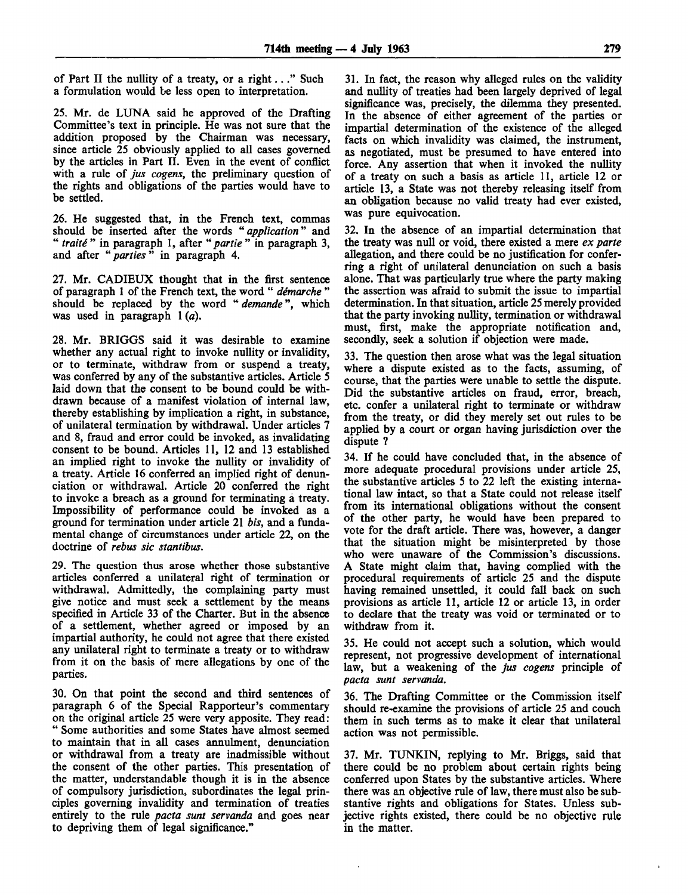of Part II the nullity of a treaty, or a right..." Such a formulation would be less open to interpretation.

25. Mr. de LUNA said he approved of the Drafting Committee's text in principle. He was not sure that the addition proposed by the Chairman was necessary, since article 25 obviously applied to all cases governed by the articles in Part II. Even in the event of conflict with a rule of *jus cogens,* the preliminary question of the rights and obligations of the parties would have to be settled.

26. He suggested that, in the French text, commas should be inserted after the words *"application"* and " *traite* " in paragraph 1, after " *partie* " in paragraph 3, and after " *parties* " in paragraph 4.

27. Mr. CADIEUX thought that in the first sentence of paragraph 1 of the French text, the word " *demarche "* should be replaced by the word " *demande*", which was used in paragraph 1*(a)*.

28. Mr. BRIGGS said it was desirable to examine whether any actual right to invoke nullity or invalidity, or to terminate, withdraw from or suspend a treaty, was conferred by any of the substantive articles. Article 5 laid down that the consent to be bound could be withdrawn because of a manifest violation of internal law, thereby establishing by implication a right, in substance, of unilateral termination by withdrawal. Under articles 7 and 8, fraud and error could be invoked, as invalidating consent to be bound. Articles 11, 12 and 13 established an implied right to invoke the nullity or invalidity of a treaty. Article 16 conferred an implied right of denunciation or withdrawal. Article 20 conferred the right to invoke a breach as a ground for terminating a treaty. Impossibility of performance could be invoked as a ground for termination under article 21 *bis,* and a fundamental change of circumstances under article 22, on the doctrine of *rebus sic stantibus.*

29. The question thus arose whether those substantive articles conferred a unilateral right of termination or withdrawal. Admittedly, the complaining party must give notice and must seek a settlement by the means specified in Article 33 of the Charter. But in the absence of a settlement, whether agreed or imposed by an impartial authority, he could not agree that there existed any unilateral right to terminate a treaty or to withdraw from it on the basis of mere allegations by one of the parties.

30. On that point the second and third sentences of paragraph 6 of the Special Rapporteur's commentary on the original article 25 were very apposite. They read: " Some authorities and some States have almost seemed to maintain that in all cases annulment, denunciation or withdrawal from a treaty are inadmissible without the consent of the other parties. This presentation of the matter, understandable though it is in the absence of compulsory jurisdiction, subordinates the legal principles governing invalidity and termination of treaties entirely to the rule *pacta sunt servanda* and goes near to depriving them of legal significance."

31. In fact, the reason why alleged rules on the validity and nullity of treaties had been largely deprived of legal significance was, precisely, the dilemma they presented. In the absence of either agreement of the parties or impartial determination of the existence of the alleged facts on which invalidity was claimed, the instrument, as negotiated, must be presumed to have entered into force. Any assertion that when it invoked the nullity of a treaty on such a basis as article 11, article 12 or article 13, a State was not thereby releasing itself from an obligation because no valid treaty had ever existed, was pure equivocation.

32. In the absence of an impartial determination that the treaty was null or void, there existed a mere *ex parte* allegation, and there could be no justification for conferring a right of unilateral denunciation on such a basis alone. That was particularly true where the party making the assertion was afraid to submit the issue to impartial determination. In that situation, article 25 merely provided that the party invoking nullity, termination or withdrawal must, first, make the appropriate notification and, secondly, seek a solution if objection were made.

33. The question then arose what was the legal situation where a dispute existed as to the facts, assuming, of course, that the parties were unable to settle the dispute. Did the substantive articles on fraud, error, breach, etc. confer a unilateral right to terminate or withdraw from the treaty, or did they merely set out rules to be applied by a court or organ having jurisdiction over the dispute ?

34. If he could have concluded that, in the absence of more adequate procedural provisions under article 25, the substantive articles 5 to 22 left the existing international law intact, so that a State could not release itself from its international obligations without the consent of the other party, he would have been prepared to vote for the draft article. There was, however, a danger that the situation might be misinterpreted by those who were unaware of the Commission's discussions. A State might claim that, having complied with the procedural requirements of article 25 and the dispute having remained unsettled, it could fall back on such provisions as article 11, article 12 or article 13, in order to declare that the treaty was void or terminated or to withdraw from it.

35. He could not accept such a solution, which would represent, not progressive development of international law, but a weakening of the *jus cogens* principle of *pacta sunt servanda.*

36. The Drafting Committee or the Commission itself should re-examine the provisions of article 25 and couch them in such terms as to make it clear that unilateral action was not permissible.

37. Mr. TUNKIN, replying to Mr. Briggs, said that there could be no problem about certain rights being conferred upon States by the substantive articles. Where there was an objective rule of law, there must also be substantive rights and obligations for States. Unless subjective rights existed, there could be no objective rule in the matter.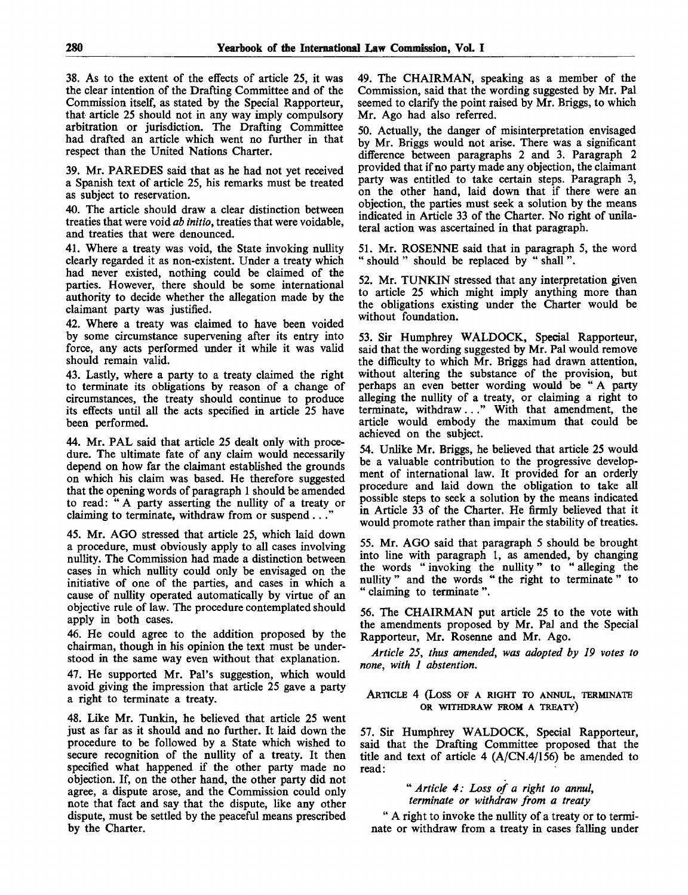38. As to the extent of the effects of article 25, it was the clear intention of the Drafting Committee and of the Commission itself, as stated by the Special Rapporteur, that article 25 should not in any way imply compulsory arbitration or jurisdiction. The Drafting Committee had drafted an article which went no further in that respect than the United Nations Charter.

39. Mr. PAREDES said that as he had not yet received a Spanish text of article 25, his remarks must be treated as subject to reservation.

40. The article should draw a clear distinction between treaties that were void *ab initio,* treaties that were voidable, and treaties that were denounced.

41. Where a treaty was void, the State invoking nullity clearly regarded it as non-existent. Under a treaty which had never existed, nothing could be claimed of the parties. However, there should be some international authority to decide whether the allegation made by the claimant party was justified.

42. Where a treaty was claimed to have been voided by some circumstance supervening after its entry into force, any acts performed under it while it was valid should remain valid.

43. Lastly, where a party to a treaty claimed the right to terminate its obligations by reason of a change of circumstances, the treaty should continue to produce its effects until all the acts specified in article 25 have been performed.

44. Mr. PAL said that article 25 dealt only with procedure. The ultimate fate of any claim would necessarily depend on how far the claimant established the grounds on which his claim was based. He therefore suggested that the opening words of paragraph 1 should be amended to read: " A party asserting the nullity of a treaty or claiming to terminate, withdraw from or suspend  $\ldots$ 

45. Mr. AGO stressed that article 25, which laid down a procedure, must obviously apply to all cases involving nullity. The Commission had made a distinction between cases in which nullity could only be envisaged on the initiative of one of the parties, and cases in which a cause of nullity operated automatically by virtue of an objective rule of law. The procedure contemplated should apply in both cases.

46. He could agree to the addition proposed by the chairman, though in his opinion the text must be understood in the same way even without that explanation.

47. He supported Mr. Pal's suggestion, which would avoid giving the impression that article 25 gave a party a right to terminate a treaty.

48. Like Mr. Tunkin, he believed that article 25 went just as far as it should and no further. It laid down the procedure to be followed by a State which wished to secure recognition of the nullity of a treaty. It then specified what happened if the other party made no objection. If, on the other hand, the other party did not agree, a dispute arose, and the Commission could only note that fact and say that the dispute, like any other dispute, must be settled by the peaceful means prescribed by the Charter.

49. The CHAIRMAN, speaking as a member of the Commission, said that the wording suggested by Mr. Pal seemed to clarify the point raised by Mr. Briggs, to which Mr. Ago had also referred.

50. Actually, the danger of misinterpretation envisaged by Mr. Briggs would not arise. There was a significant difference between paragraphs 2 and 3. Paragraph 2 provided that if no party made any objection, the claimant party was entitled to take certain steps. Paragraph 3, on the other hand, laid down that if there were an objection, the parties must seek a solution by the means indicated in Article 33 of the Charter. No right of unilateral action was ascertained in that paragraph.

51. Mr. ROSENNE said that in paragraph 5, the word " should " should be replaced by " shall ".

52. Mr. TUNKIN stressed that any interpretation given to article 25 which might imply anything more than the obligations existing under the Charter would be without foundation.

53. Sir Humphrey WALDOCK, Special Rapporteur, said that the wording suggested by Mr. Pal would remove the difficulty to which Mr. Briggs had drawn attention, without altering the substance of the provision, but perhaps an even better wording would be " A party alleging the nullity of a treaty, or claiming a right to terminate, withdraw..." With that amendment, the article would embody the maximum that could be achieved on the subject.

54. Unlike Mr. Briggs, he believed that article 25 would be a valuable contribution to the progressive development of international law. It provided for an orderly procedure and laid down the obligation to take all possible steps to seek a solution by the means indicated in Article 33 of the Charter. He firmly believed that it would promote rather than impair the stability of treaties.

55. Mr. AGO said that paragraph 5 should be brought into line with paragraph 1, as amended, by changing the words "invoking the nullity" to "alleging the nullity" and the words " the right to terminate" to " claiming to terminate ".

56. The CHAIRMAN put article 25 to the vote with the amendments proposed by Mr. Pal and the Special Rapporteur, Mr. Rosenne and Mr. Ago.

*Article 25, thus amended, was adopted by 19 votes to none, with 1 abstention.*

#### ARTICLE 4 (Loss OF A RIGHT TO ANNUL, TERMINATE **OR WITHDRAW FROM A TREATY)**

57. Sir Humphrey WALDOCK, Special Rapporteur, said that the Drafting Committee proposed that the title and text of article 4 (A/CN.4/156) be amended to read:

> " *Article 4: Loss of a right to annul, terminate or withdraw from a treaty*

" A right to invoke the nullity of a treaty or to terminate or withdraw from a treaty in cases falling under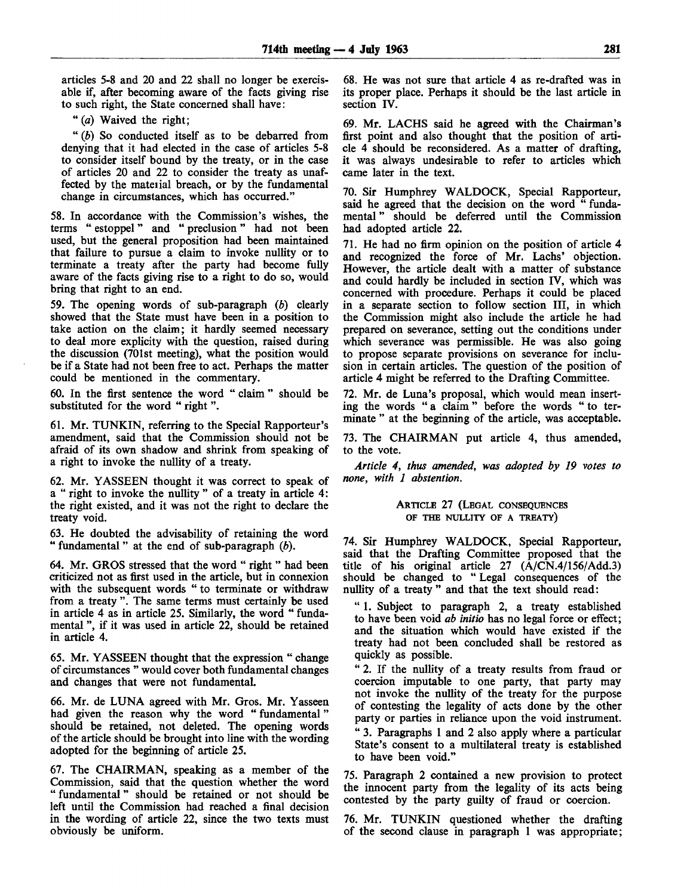articles 5-8 and 20 and 22 shall no longer be exercisable if, after becoming aware of the facts giving rise to such right, the State concerned shall have:

" *(a)* Waived the right;

" *(b)* So conducted itself as to be debarred from denying that it had elected in the case of articles 5-8 to consider itself bound by the treaty, or in the case of articles 20 and 22 to consider the treaty as unaffected by the material breach, or by the fundamental change in circumstances, which has occurred."

58. In accordance with the Commission's wishes, the terms " estoppel" and " preclusion" had not been used, but the general proposition had been maintained that failure to pursue a claim to invoke nullity or to terminate a treaty after the party had become fully aware of the facts giving rise to a right to do so, would bring that right to an end.

59. The opening words of sub-paragraph *(b)* clearly showed that the State must have been in a position to take action on the claim; it hardly seemed necessary to deal more explicity with the question, raised during the discussion (701st meeting), what the position would be if a State had not been free to act. Perhaps the matter could be mentioned in the commentary.

60. In the first sentence the word " claim " should be substituted for the word "right".

61. Mr. TUNKIN, referring to the Special Rapporteur's amendment, said that the Commission should not be afraid of its own shadow and shrink from speaking of a right to invoke the nullity of a treaty.

62. Mr. YASSEEN thought it was correct to speak of a " right to invoke the nullity " of a treaty in article 4: the right existed, and it was not the right to declare the treaty void.

63. He doubted the advisability of retaining the word " fundamental " at the end of sub-paragraph *(b).*

64. Mr. GROS stressed that the word " right " had been criticized not as first used in the article, but in connexion with the subsequent words " to terminate or withdraw from a treaty ". The same terms must certainly be used in article 4 as in article 25. Similarly, the word " fundamental ", if it was used in article 22, should be retained in article 4.

65. Mr. YASSEEN thought that the expression " change of circumstances " would cover both fundamental changes and changes that were not fundamental.

66. Mr. de LUNA agreed with Mr. Gros. Mr. Yasseen had given the reason why the word "fundamental" should be retained, not deleted. The opening words of the article should be brought into line with the wording adopted for the beginning of article 25.

67. The CHAIRMAN, speaking as a member of the Commission, said that the question whether the word " fundamental" should be retained or not should be left until the Commission had reached a final decision in the wording of article 22, since the two texts must obviously be uniform.

68. He was not sure that article 4 as re-drafted was in its proper place. Perhaps it should be the last article in section IV.

69. Mr. LACHS said he agreed with the Chairman's first point and also thought that the position of article 4 should be reconsidered. As a matter of drafting, it was always undesirable to refer to articles which came later in the text.

70. Sir Humphrey WALDOCK, Special Rapporteur, said he agreed that the decision on the word " fundamental " should be deferred until the Commission had adopted article 22.

71. He had no firm opinion on the position of article 4 and recognized the force of Mr. Lachs' objection. However, the article dealt with a matter of substance and could hardly be included in section IV, which was concerned with procedure. Perhaps it could be placed in a separate section to follow section III, in which the Commission might also include the article he had prepared on severance, setting out the conditions under which severance was permissible. He was also going to propose separate provisions on severance for inclusion in certain articles. The question of the position of article 4 might be referred to the Drafting Committee.

72. Mr. de Luna's proposal, which would mean inserting the words " a claim" before the words " to terminate " at the beginning of the article, was acceptable.

73. The CHAIRMAN put article 4, thus amended, to the vote.

*Article 4, thus amended, was adopted by 19 votes to none, with 1 abstention.*

> ARTICLE 27 (LEGAL CONSEQUENCES OF THE NULLITY OF A TREATY)

74. Sir Humphrey WALDOCK, Special Rapporteur, said that the Drafting Committee proposed that the title of his original article 27  $(\overline{A}/\overline{C}N.4/156/Add.3)$ should be changed to " Legal consequences of the nullity of a treaty " and that the text should read:

" 1. Subject to paragraph 2, a treaty established to have been void *ab initio* has no legal force or effect; and the situation which would have existed if the treaty had not been concluded shall be restored as quickly as possible.

" 2. If the nullity of a treaty results from fraud or coercion imputable to one party, that party may not invoke the nullity of the treaty for the purpose of contesting the legality of acts done by the other party or parties in reliance upon the void instrument. " 3. Paragraphs 1 and 2 also apply where a particular State's consent to a multilateral treaty is established to have been void."

75. Paragraph 2 contained a new provision to protect the innocent party from the legality of its acts being contested by the party guilty of fraud or coercion.

76. Mr. TUNKIN questioned whether the drafting of the second clause in paragraph 1 was appropriate;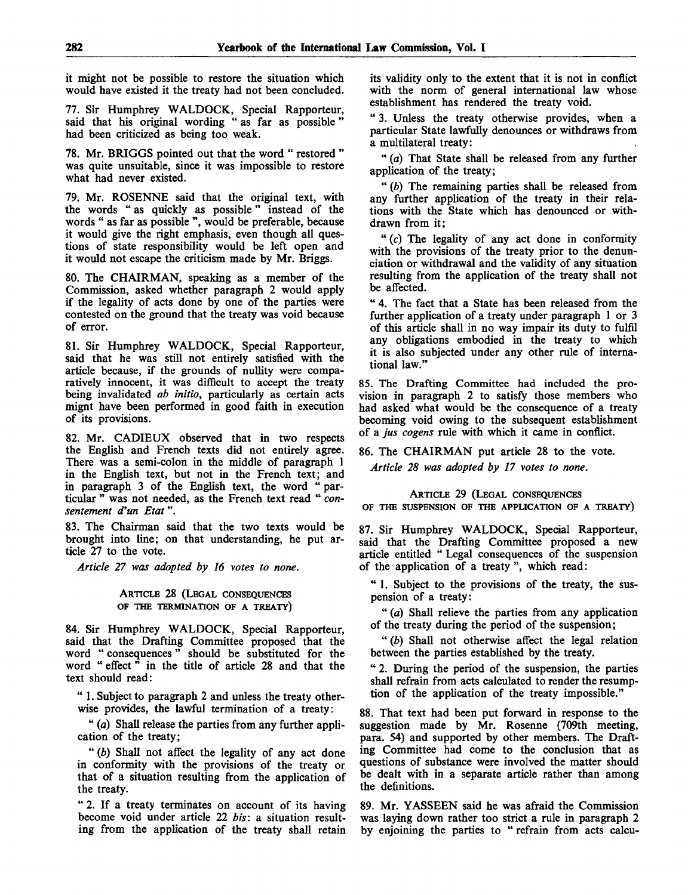it might not be possible to restore the situation which would have existed it the treaty had not been concluded.

77. Sir Humphrey WALDOCK, Special Rapporteur, said that his original wording " as far as possible " had been criticized as being too weak.

78. Mr. BRIGGS pointed out that the word " restored " was quite unsuitable, since it was impossible to restore what had never existed.

79. Mr. ROSENNE said that the original text, with the words " as quickly as possible" instead of the words " as far as possible ", would be preferable, because it would give the right emphasis, even though all questions of state responsibility would be left open and it would not escape the criticism made by Mr. Briggs.

80. The CHAIRMAN, speaking as a member of the Commission, asked whether paragraph 2 would apply if the legality of acts done by one of the parties were contested on the ground that the treaty was void because of error.

81. Sir Humphrey WALDOCK, Special Rapporteur, said that he was still not entirely satisfied with the article because, if the grounds of nullity were comparatively innocent, it was difficult to accept the treaty being invalidated *ab initio,* particularly as certain acts mignt have been performed in good faith in execution of its provisions.

82. Mr. CADIEUX observed that in two respects the English and French texts did not entirely agree. There was a semi-colon in the middle of paragraph 1 in the English text, but not in the French text; and in paragraph 3 of the English text, the word " particular " was not needed, as the French text read " *consentement d'un Etat".*

83. The Chairman said that the two texts would be brought into line; on that understanding, he put article 27 to the vote.

*Article 27 was adopted by 16 votes to none.*

# ARTICLE 28 (LEGAL CONSEQUENCES OF THE TERMINATION OF A TREATY)  $\mathcal{L}_{\mathcal{A}}$

84. Sir Humphrey WALDOCK, Special Rapporteur, said that the Drafting Committee proposed that the word " consequences " should be substituted for the word " effect " in the title of article 28 and that the text should read:

" 1. Subject to paragraph 2 and unless the treaty otherwise provides, the lawful termination of a treaty:

" *(a)* Shall release the parties from any further application of the treaty;

" *(b)* Shall not affect the legality of any act done in conformity with the provisions of the treaty or that of a situation resulting from the application of the treaty.

" 2. If a treaty terminates on account of its having become void under article 22 *bis:* a situation resulting from the application of the treaty shall retain its validity only to the extent that it is not in conflict with the norm of general international law whose establishment has rendered the treaty void.

" 3. Unless the treaty otherwise provides, when a particular State lawfully denounces or withdraws from a multilateral treaty:

" *(a)* That State shall be released from any further application of the treaty;

" *(b)* The remaining parties shall be released from any further application of the treaty in their relations with the State which has denounced or withdrawn from it;

" $(c)$  The legality of any act done in conformity with the provisions of the treaty prior to the denunciation or withdrawal and the validity of any situation resulting from the application of the treaty shall not be affected.

" 4. The fact that a State has been released from the further application of a treaty under paragraph 1 or 3 of this article shall in no way impair its duty to fulfil any obligations embodied in the treaty to which it is also subjected under any other rule of international law."

85. The Drafting Committee had included the provision in paragraph 2 to satisfy those members who had asked what would be the consequence of a treaty becoming void owing to the subsequent establishment of a *jus cogens* rule with which it came in conflict.

86. The CHAIRMAN put article 28 to the vote. *Article 28 was adopted by 17 votes to none.*

#### ARTICLE 29 (LEGAL CONSEQUENCES

OF THE SUSPENSION OF THE APPLICATION OF A TREATY)

87. Sir Humphrey WALDOCK, Special Rapporteur, said that the Drafting Committee proposed a new article entitled " Legal consequences of the suspension of the application of a treaty ", which read:

" 1. Subject to the provisions of the treaty, the suspension of a treaty:

" *(a)* Shall relieve the parties from any application of the treaty during the period of the suspension;

" *(b)* Shall not otherwise affect the legal relation between the parties established by the treaty.

" 2. During the period of the suspension, the parties shall refrain from acts calculated to render the resumption of the application of the treaty impossible."

88. That text had been put forward in response to the suggestion made by Mr. Rosenne (709th meeting, para. 54) and supported by other members. The Drafting Committee had come to the conclusion that as questions of substance were involved the matter should be dealt with in a separate article rather than among the definitions.

89. Mr. YASSEEN said he was afraid the Commission was laying down rather too strict a rule in paragraph 2 by enjoining the parties to " refrain from acts calcu